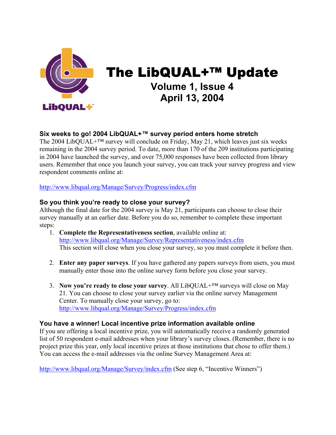

# The LibQUAL+™ Update **Volume 1, Issue 4 April 13, 2004**

# **Six weeks to go! 2004 LibQUAL+™ survey period enters home stretch**

The 2004 LibQUAL+™ survey will conclude on Friday, May 21, which leaves just six weeks remaining in the 2004 survey period. To date, more than 170 of the 209 institutions participating in 2004 have launched the survey, and over 75,000 responses have been collected from library users. Remember that once you launch your survey, you can track your survey progress and view respondent comments online at:

[http://www.libqual.org/Manage/Survey/Progress/index.cfm](http://old.libqual.org/Manage/Survey/Progress/index.cfm)

## **So you think you're ready to close your survey?**

Although the final date for the 2004 survey is May 21, participants can choose to close their survey manually at an earlier date. Before you do so, remember to complete these important steps:

- 1. **Complete the Representativeness section**, available online at: [http://www.libqual.org/Manage/Survey/Representativeness/index.cfm](http://old.libqual.org/Manage/Survey/Representativeness/index.cfm) This section will close when you close your survey, so you must complete it before then.
- 2. **Enter any paper surveys**. If you have gathered any papers surveys from users, you must manually enter those into the online survey form before you close your survey.
- 3. **Now you're ready to close your survey**. All LibQUAL+™ surveys will close on May 21. You can choose to close your survey earlier via the online survey Management Center. To manually close your survey, go to: [http://www.libqual.org/Manage/Survey/Progress/index.cfm](http://old.libqual.org/Manage/Survey/Progress/index.cfm)

#### **You have a winner! Local incentive prize information available online**

If you are offering a local incentive prize, you will automatically receive a randomly generated list of 50 respondent e-mail addresses when your library's survey closes. (Remember, there is no project prize this year, only local incentive prizes at those institutions that chose to offer them.) You can access the e-mail addresses via the online Survey Management Area at:

[http://www.libqual.org/Manage/Survey/index.cfm](http://old.libqual.org/Manage/Survey/index.cfm) (See step 6, "Incentive Winners")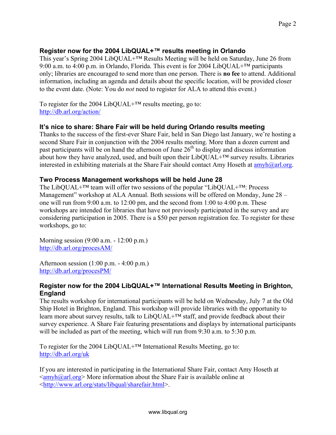# **Register now for the 2004 LibQUAL+™ results meeting in Orlando**

This year's Spring 2004 LibQUAL+™ Results Meeting will be held on Saturday, June 26 from 9:00 a.m. to 4:00 p.m. in Orlando, Florida. This event is for 2004 LibQUAL<sup>+™</sup> participants only; libraries are encouraged to send more than one person. There is **no fee** to attend. Additional information, including an agenda and details about the specific location, will be provided closer to the event date. (Note: You do *not* need to register for ALA to attend this event.)

To register for the 2004 LibQUAL+™ results meeting, go to: <http://db.arl.org/action/>

# **It's nice to share: Share Fair will be held during Orlando results meeting**

Thanks to the success of the first-ever Share Fair, held in San Diego last January, we're hosting a second Share Fair in conjunction with the 2004 results meeting. More than a dozen current and past participants will be on hand the afternoon of June  $26<sup>th</sup>$  to display and discuss information about how they have analyzed, used, and built upon their  $LibQUAL+TM$  survey results. Libraries interested in exhibiting materials at the Share Fair should contact Amy Hoseth at  $\frac{amvh(0,ar)}{amv}$ .

## **Two Process Management workshops will be held June 28**

The LibQUAL+™ team will offer two sessions of the popular "LibQUAL+™: Process Management" workshop at ALA Annual. Both sessions will be offered on Monday, June 28 – one will run from 9:00 a.m. to 12:00 pm, and the second from 1:00 to 4:00 p.m. These workshops are intended for libraries that have not previously participated in the survey and are considering participation in 2005. There is a \$50 per person registration fee. To register for these workshops, go to:

Morning session (9:00 a.m. - 12:00 p.m.) <http://db.arl.org/procesAM/>

Afternoon session (1:00 p.m. - 4:00 p.m.) <http://db.arl.org/procesPM/>

#### **Register now for the 2004 LibQUAL+™ International Results Meeting in Brighton, England**

The results workshop for international participants will be held on Wednesday, July 7 at the Old Ship Hotel in Brighton, England. This workshop will provide libraries with the opportunity to learn more about survey results, talk to LibQUAL+™ staff, and provide feedback about their survey experience. A Share Fair featuring presentations and displays by international participants will be included as part of the meeting, which will run from 9:30 a.m. to 5:30 p.m.

To register for the 2004 LibQUAL+™ International Results Meeting, go to: <http://db.arl.org/uk>

If you are interested in participating in the International Share Fair, contact Amy Hoseth at  $\langle \text{amyh}(\hat{\omega} \text{arl.org} \rangle$  More information about the Share Fair is available online at <[http://www.arl.org/stats/libqual/sharefair.html>](http://www.arl.org/stats/libqual/sharefair.html).